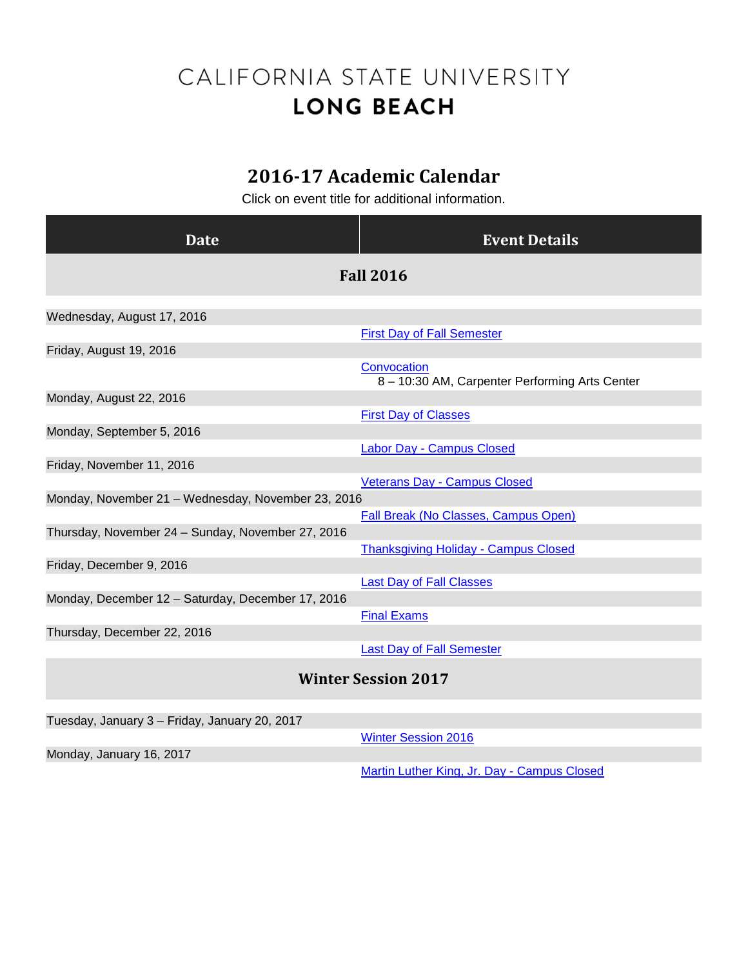## CALIFORNIA STATE UNIVERSITY **LONG BEACH**

## **2016-17 Academic Calendar**

Click on event title for additional information.

| <b>Date</b>                                        | <b>Event Details</b>                                          |
|----------------------------------------------------|---------------------------------------------------------------|
| <b>Fall 2016</b>                                   |                                                               |
|                                                    |                                                               |
| Wednesday, August 17, 2016                         |                                                               |
| Friday, August 19, 2016                            | <b>First Day of Fall Semester</b>                             |
|                                                    | Convocation<br>8 - 10:30 AM, Carpenter Performing Arts Center |
| Monday, August 22, 2016                            |                                                               |
|                                                    | <b>First Day of Classes</b>                                   |
| Monday, September 5, 2016                          |                                                               |
|                                                    | <b>Labor Day - Campus Closed</b>                              |
| Friday, November 11, 2016                          |                                                               |
|                                                    | <b>Veterans Day - Campus Closed</b>                           |
| Monday, November 21 - Wednesday, November 23, 2016 |                                                               |
|                                                    | <b>Fall Break (No Classes, Campus Open)</b>                   |
| Thursday, November 24 - Sunday, November 27, 2016  |                                                               |
|                                                    | <b>Thanksgiving Holiday - Campus Closed</b>                   |
| Friday, December 9, 2016                           |                                                               |
|                                                    | <b>Last Day of Fall Classes</b>                               |
| Monday, December 12 - Saturday, December 17, 2016  |                                                               |
|                                                    | <b>Final Exams</b>                                            |
| Thursday, December 22, 2016                        |                                                               |
|                                                    | <b>Last Day of Fall Semester</b>                              |
| <b>Winter Session 2017</b>                         |                                                               |
|                                                    |                                                               |
| Tuesday, January 3 - Friday, January 20, 2017      |                                                               |
|                                                    | <b>Winter Session 2016</b>                                    |
| Monday, January 16, 2017                           |                                                               |

[Martin Luther King, Jr. Day -](http://calendar.aa.csulb.edu/EventList.aspx?fromdate=8/15/2016&todate=8/18/2017&display=Month&type=public&eventidn=1922&view=EventDetails&information_id=3866) Campus Closed